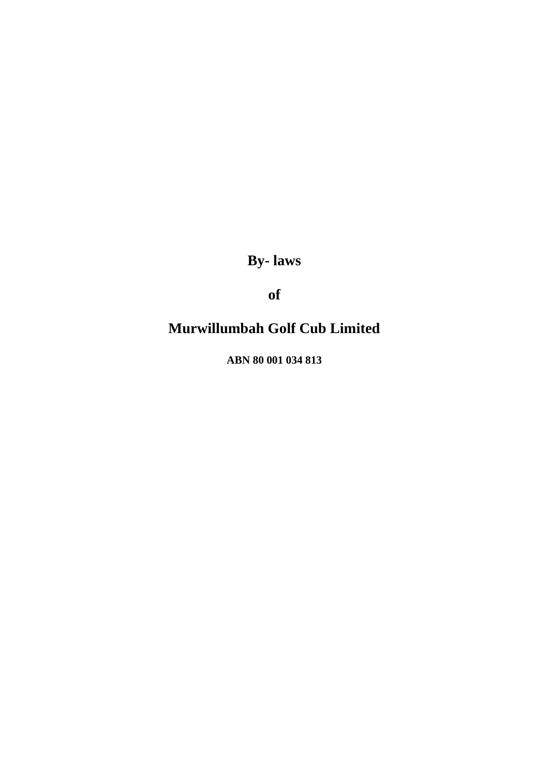**By- laws** 

**of**

# **Murwillumbah Golf Cub Limited**

**ABN 80 001 034 813**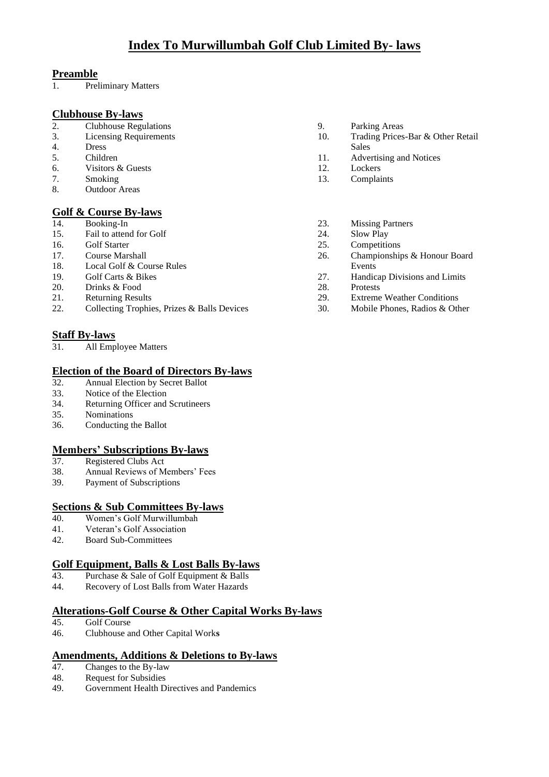# **Preamble**<br>1. Pre

Preliminary Matters

# **Clubhouse By-laws**

- 2. Clubhouse Regulations 9. Parking Areas<br>
3. Licensing Requirements 10. Trading Prices
- 
- 4. Dress Sales
- 
- 6. Visitors & Guests 12.<br>
7. Smoking 13.
- 
- Outdoor Areas

# **<u>Golf & Course By-laws</u>**<br>14. Booking-In

- 
- 15. Fail to attend for Golf 24. Slow Play<br>16. Golf Starter 25. Competitive
- 
- 
- 18. Local Golf & Course Rules Events<br>
19. Golf Carts & Bikes 27. Handic
- 
- 20. Drinks & Food 28. Protests
- 
- 21. Returning Results 22. Collecting Trophies, Prizes & Balls Devices 22. Collecting Trophies, Prizes & Balls Devices 23. Mobile Phones, Radios & Other Collecting Trophies, Prizes & Balls Devices

# **Staff By-laws**

31. All Employee Matters

# **Election of the Board of Directors By-laws**

- 32. Annual Election by Secret Ballot
- 33. Notice of the Election
- 34. Returning Officer and Scrutineers
- 35. Nominations
- 36. Conducting the Ballot

# **Members' Subscriptions By-laws**<br>37. Registered Clubs Act

- 37. Registered Clubs Act
- 38. Annual Reviews of Members' Fees
- 39. Payment of Subscriptions

# **Sections & Sub Committees By-laws**

- 40. Women's Golf Murwillumbah
- 41. Veteran's Golf Association<br>42. Board Sub-Committees
- 42. Board Sub-Committees

# **Golf Equipment, Balls & Lost Balls By-laws**

- 43. Purchase & Sale of Golf Equipment & Balls
- 44. Recovery of Lost Balls from Water Hazards

# **Alterations-Golf Course & Other Capital Works By-laws**

- Golf Course
- 46. Clubhouse and Other Capital Work**s**

# **Amendments, Additions & Deletions to By-laws** 47. Changes to the By-law

- Changes to the By-law
- 48. Request for Subsidies
- 49. Government Health Directives and Pandemics
- 
- Trading Prices-Bar & Other Retail
- 5. Children 11. Advertising and Notices<br>6. Visitors & Guests 12. Lockers
	-
- 7. Smoking 13. Complaints<br>8 Outdoor Areas
	- 23. Missing Partners
	-
	- Competitions
- 17. Course Marshall 26. Championships & Honour Board
	- 19. Golf Carts & Bikes 27. Handicap Divisions and Limits
		-
		-
		-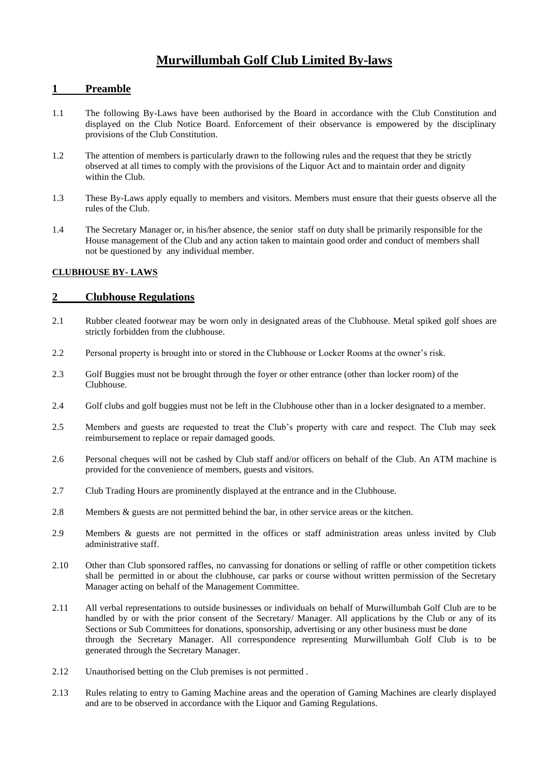# **Murwillumbah Golf Club Limited By-laws**

# **1 Preamble**

- 1.1 The following By-Laws have been authorised by the Board in accordance with the Club Constitution and displayed on the Club Notice Board. Enforcement of their observance is empowered by the disciplinary provisions of the Club Constitution.
- 1.2 The attention of members is particularly drawn to the following rules and the request that they be strictly observed at all times to comply with the provisions of the Liquor Act and to maintain order and dignity within the Club.
- 1.3 These By-Laws apply equally to members and visitors. Members must ensure that their guests observe all the rules of the Club.
- 1.4 The Secretary Manager or, in his/her absence, the senior staff on duty shall be primarily responsible for the House management of the Club and any action taken to maintain good order and conduct of members shall not be questioned by any individual member.

### **CLUBHOUSE BY- LAWS**

## **2 Clubhouse Regulations**

- 2.1 Rubber cleated footwear may be worn only in designated areas of the Clubhouse. Metal spiked golf shoes are strictly forbidden from the clubhouse.
- 2.2 Personal property is brought into or stored in the Clubhouse or Locker Rooms at the owner's risk.
- 2.3 Golf Buggies must not be brought through the foyer or other entrance (other than locker room) of the Clubhouse.
- 2.4 Golf clubs and golf buggies must not be left in the Clubhouse other than in a locker designated to a member.
- 2.5 Members and guests are requested to treat the Club's property with care and respect. The Club may seek reimbursement to replace or repair damaged goods.
- 2.6 Personal cheques will not be cashed by Club staff and/or officers on behalf of the Club. An ATM machine is provided for the convenience of members, guests and visitors.
- 2.7 Club Trading Hours are prominently displayed at the entrance and in the Clubhouse.
- 2.8 Members & guests are not permitted behind the bar, in other service areas or the kitchen.
- 2.9 Members & guests are not permitted in the offices or staff administration areas unless invited by Club administrative staff.
- 2.10 Other than Club sponsored raffles, no canvassing for donations or selling of raffle or other competition tickets shall be permitted in or about the clubhouse, car parks or course without written permission of the Secretary Manager acting on behalf of the Management Committee.
- 2.11 All verbal representations to outside businesses or individuals on behalf of Murwillumbah Golf Club are to be handled by or with the prior consent of the Secretary/ Manager. All applications by the Club or any of its Sections or Sub Committees for donations, sponsorship, advertising or any other business must be done through the Secretary Manager. All correspondence representing Murwillumbah Golf Club is to be generated through the Secretary Manager.
- 2.12 Unauthorised betting on the Club premises is not permitted .
- 2.13 Rules relating to entry to Gaming Machine areas and the operation of Gaming Machines are clearly displayed and are to be observed in accordance with the Liquor and Gaming Regulations.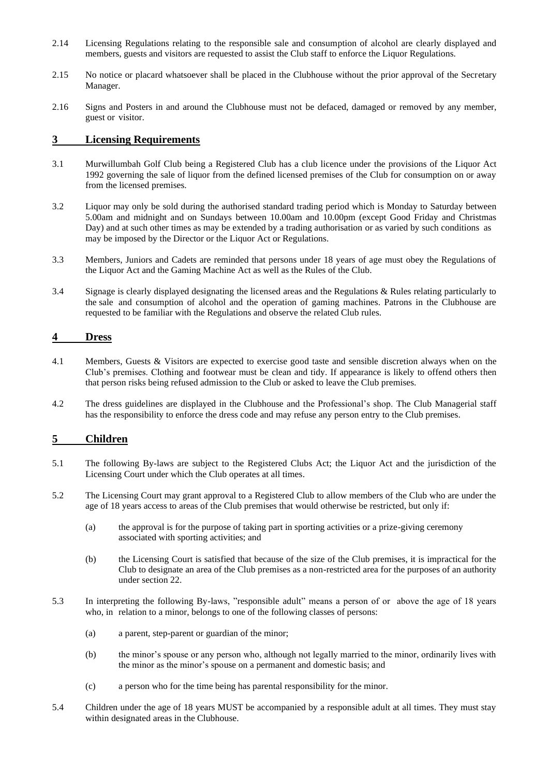- 2.14 Licensing Regulations relating to the responsible sale and consumption of alcohol are clearly displayed and members, guests and visitors are requested to assist the Club staff to enforce the Liquor Regulations.
- 2.15 No notice or placard whatsoever shall be placed in the Clubhouse without the prior approval of the Secretary Manager.
- 2.16 Signs and Posters in and around the Clubhouse must not be defaced, damaged or removed by any member, guest or visitor.

# **3 Licensing Requirements**

- 3.1 Murwillumbah Golf Club being a Registered Club has a club licence under the provisions of the Liquor Act 1992 governing the sale of liquor from the defined licensed premises of the Club for consumption on or away from the licensed premises.
- 3.2 Liquor may only be sold during the authorised standard trading period which is Monday to Saturday between 5.00am and midnight and on Sundays between 10.00am and 10.00pm (except Good Friday and Christmas Day) and at such other times as may be extended by a trading authorisation or as varied by such conditions as may be imposed by the Director or the Liquor Act or Regulations.
- 3.3 Members, Juniors and Cadets are reminded that persons under 18 years of age must obey the Regulations of the Liquor Act and the Gaming Machine Act as well as the Rules of the Club.
- 3.4 Signage is clearly displayed designating the licensed areas and the Regulations & Rules relating particularly to the sale and consumption of alcohol and the operation of gaming machines. Patrons in the Clubhouse are requested to be familiar with the Regulations and observe the related Club rules.

### **4 Dress**

- 4.1 Members, Guests & Visitors are expected to exercise good taste and sensible discretion always when on the Club's premises. Clothing and footwear must be clean and tidy. If appearance is likely to offend others then that person risks being refused admission to the Club or asked to leave the Club premises.
- 4.2 The dress guidelines are displayed in the Clubhouse and the Professional's shop. The Club Managerial staff has the responsibility to enforce the dress code and may refuse any person entry to the Club premises.

# **5 Children**

- 5.1 The following By-laws are subject to the Registered Clubs Act; the Liquor Act and the jurisdiction of the Licensing Court under which the Club operates at all times.
- 5.2 The Licensing Court may grant approval to a Registered Club to allow members of the Club who are under the age of 18 years access to areas of the Club premises that would otherwise be restricted, but only if:
	- (a) the approval is for the purpose of taking part in sporting activities or a prize-giving ceremony associated with sporting activities; and
	- (b) the Licensing Court is satisfied that because of the size of the Club premises, it is impractical for the Club to designate an area of the Club premises as a non-restricted area for the purposes of an authority under section 22.
- 5.3 In interpreting the following By-laws, "responsible adult" means a person of or above the age of 18 years who, in relation to a minor, belongs to one of the following classes of persons:
	- (a) a parent, step-parent or guardian of the minor;
	- (b) the minor's spouse or any person who, although not legally married to the minor, ordinarily lives with the minor as the minor's spouse on a permanent and domestic basis; and
	- (c) a person who for the time being has parental responsibility for the minor.
- 5.4 Children under the age of 18 years MUST be accompanied by a responsible adult at all times. They must stay within designated areas in the Clubhouse.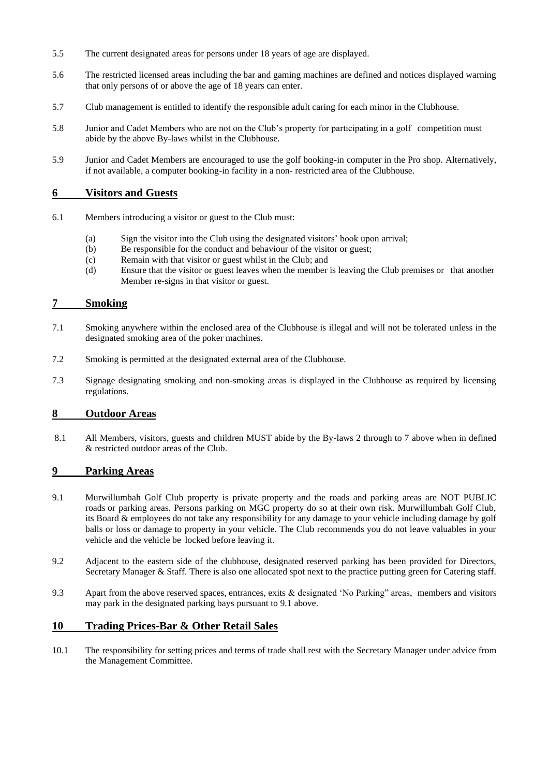- 5.5 The current designated areas for persons under 18 years of age are displayed.
- 5.6 The restricted licensed areas including the bar and gaming machines are defined and notices displayed warning that only persons of or above the age of 18 years can enter.
- 5.7 Club management is entitled to identify the responsible adult caring for each minor in the Clubhouse.
- 5.8 Junior and Cadet Members who are not on the Club's property for participating in a golf competition must abide by the above By-laws whilst in the Clubhouse.
- 5.9 Junior and Cadet Members are encouraged to use the golf booking-in computer in the Pro shop. Alternatively, if not available, a computer booking-in facility in a non- restricted area of the Clubhouse.

## **6 Visitors and Guests**

- 6.1 Members introducing a visitor or guest to the Club must:
	- (a) Sign the visitor into the Club using the designated visitors' book upon arrival;
	- (b) Be responsible for the conduct and behaviour of the visitor or guest;
	- (c) Remain with that visitor or guest whilst in the Club; and
	- (d) Ensure that the visitor or guest leaves when the member is leaving the Club premises or that another Member re-signs in that visitor or guest.

## **7 Smoking**

- 7.1 Smoking anywhere within the enclosed area of the Clubhouse is illegal and will not be tolerated unless in the designated smoking area of the poker machines.
- 7.2 Smoking is permitted at the designated external area of the Clubhouse.
- 7.3 Signage designating smoking and non-smoking areas is displayed in the Clubhouse as required by licensing regulations.

### **8 Outdoor Areas**

8.1 All Members, visitors, guests and children MUST abide by the By-laws 2 through to 7 above when in defined & restricted outdoor areas of the Club.

### **9 Parking Areas**

- 9.1 Murwillumbah Golf Club property is private property and the roads and parking areas are NOT PUBLIC roads or parking areas. Persons parking on MGC property do so at their own risk. Murwillumbah Golf Club, its Board & employees do not take any responsibility for any damage to your vehicle including damage by golf balls or loss or damage to property in your vehicle. The Club recommends you do not leave valuables in your vehicle and the vehicle be locked before leaving it.
- 9.2 Adjacent to the eastern side of the clubhouse, designated reserved parking has been provided for Directors, Secretary Manager & Staff. There is also one allocated spot next to the practice putting green for Catering staff.
- 9.3 Apart from the above reserved spaces, entrances, exits & designated 'No Parking" areas, members and visitors may park in the designated parking bays pursuant to 9.1 above.

### **10 Trading Prices-Bar & Other Retail Sales**

10.1 The responsibility for setting prices and terms of trade shall rest with the Secretary Manager under advice from the Management Committee.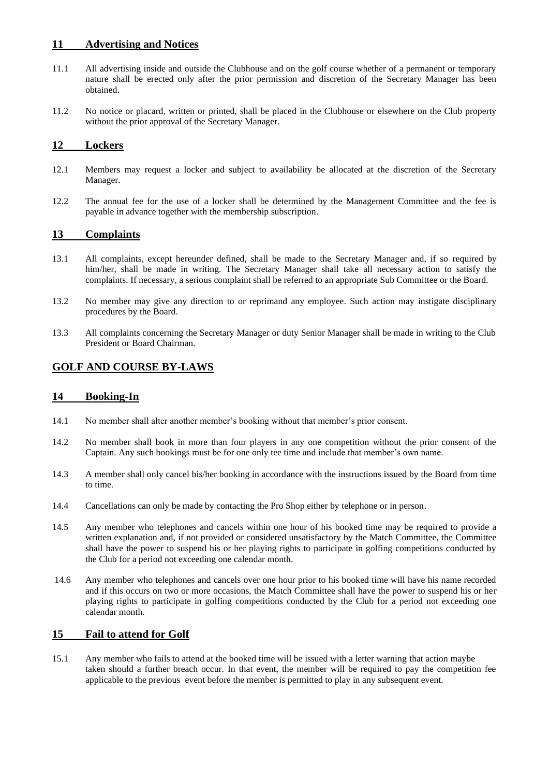### **11 Advertising and Notices**

- 11.1 All advertising inside and outside the Clubhouse and on the golf course whether of a permanent or temporary nature shall be erected only after the prior permission and discretion of the Secretary Manager has been obtained.
- 11.2 No notice or placard, written or printed, shall be placed in the Clubhouse or elsewhere on the Club property without the prior approval of the Secretary Manager.

### **12 Lockers**

- 12.1 Members may request a locker and subject to availability be allocated at the discretion of the Secretary Manager.
- 12.2 The annual fee for the use of a locker shall be determined by the Management Committee and the fee is payable in advance together with the membership subscription.

## **13 Complaints**

- 13.1 All complaints, except hereunder defined, shall be made to the Secretary Manager and, if so required by him/her, shall be made in writing. The Secretary Manager shall take all necessary action to satisfy the complaints. If necessary, a serious complaint shall be referred to an appropriate Sub Committee or the Board.
- 13.2 No member may give any direction to or reprimand any employee. Such action may instigate disciplinary procedures by the Board.
- 13.3 All complaints concerning the Secretary Manager or duty Senior Manager shall be made in writing to the Club President or Board Chairman.

# **GOLF AND COURSE BY-LAWS**

### **14 Booking-In**

- 14.1 No member shall alter another member's booking without that member's prior consent.
- 14.2 No member shall book in more than four players in any one competition without the prior consent of the Captain. Any such bookings must be for one only tee time and include that member's own name.
- 14.3 A member shall only cancel his/her booking in accordance with the instructions issued by the Board from time to time.
- 14.4 Cancellations can only be made by contacting the Pro Shop either by telephone or in person.
- 14.5 Any member who telephones and cancels within one hour of his booked time may be required to provide a written explanation and, if not provided or considered unsatisfactory by the Match Committee, the Committee shall have the power to suspend his or her playing rights to participate in golfing competitions conducted by the Club for a period not exceeding one calendar month.
- 14.6 Any member who telephones and cancels over one hour prior to his booked time will have his name recorded and if this occurs on two or more occasions, the Match Committee shall have the power to suspend his or her playing rights to participate in golfing competitions conducted by the Club for a period not exceeding one calendar month.

### **15 Fail to attend for Golf**

15.1 Any member who fails to attend at the booked time will be issued with a letter warning that action maybe taken should a further breach occur. In that event, the member will be required to pay the competition fee applicable to the previous event before the member is permitted to play in any subsequent event.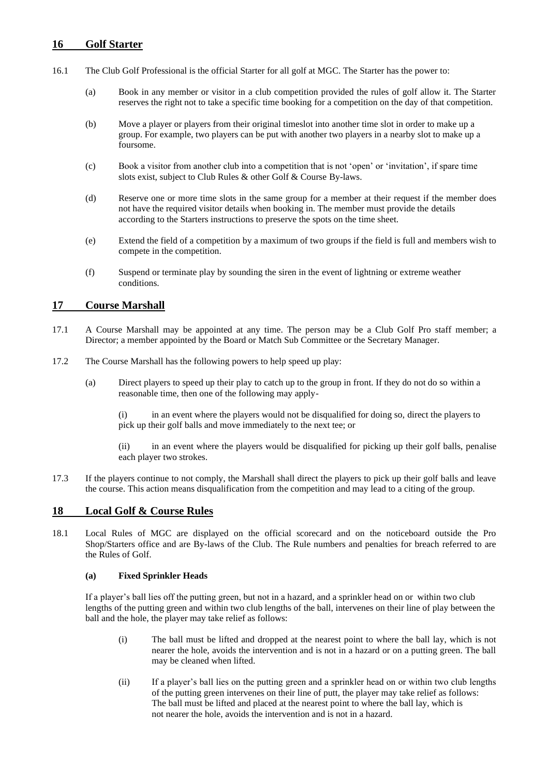## **16 Golf Starter**

- 16.1 The Club Golf Professional is the official Starter for all golf at MGC. The Starter has the power to:
	- (a) Book in any member or visitor in a club competition provided the rules of golf allow it. The Starter reserves the right not to take a specific time booking for a competition on the day of that competition.
	- (b) Move a player or players from their original timeslot into another time slot in order to make up a group. For example, two players can be put with another two players in a nearby slot to make up a foursome.
	- (c) Book a visitor from another club into a competition that is not 'open' or 'invitation', if spare time slots exist, subject to Club Rules & other Golf & Course By-laws.
	- (d) Reserve one or more time slots in the same group for a member at their request if the member does not have the required visitor details when booking in. The member must provide the details according to the Starters instructions to preserve the spots on the time sheet.
	- (e) Extend the field of a competition by a maximum of two groups if the field is full and members wish to compete in the competition.
	- (f) Suspend or terminate play by sounding the siren in the event of lightning or extreme weather conditions.

# **17 Course Marshall**

- 17.1 A Course Marshall may be appointed at any time. The person may be a Club Golf Pro staff member; a Director; a member appointed by the Board or Match Sub Committee or the Secretary Manager.
- 17.2 The Course Marshall has the following powers to help speed up play:
	- (a) Direct players to speed up their play to catch up to the group in front. If they do not do so within a reasonable time, then one of the following may apply-

(i) in an event where the players would not be disqualified for doing so, direct the players to pick up their golf balls and move immediately to the next tee; or

(ii) in an event where the players would be disqualified for picking up their golf balls, penalise each player two strokes.

17.3 If the players continue to not comply, the Marshall shall direct the players to pick up their golf balls and leave the course. This action means disqualification from the competition and may lead to a citing of the group.

### **18 Local Golf & Course Rules**

18.1 Local Rules of MGC are displayed on the official scorecard and on the noticeboard outside the Pro Shop/Starters office and are By-laws of the Club. The Rule numbers and penalties for breach referred to are the Rules of Golf.

#### **(a) Fixed Sprinkler Heads**

If a player's ball lies off the putting green, but not in a hazard, and a sprinkler head on or within two club lengths of the putting green and within two club lengths of the ball, intervenes on their line of play between the ball and the hole, the player may take relief as follows:

- (i) The ball must be lifted and dropped at the nearest point to where the ball lay, which is not nearer the hole, avoids the intervention and is not in a hazard or on a putting green. The ball may be cleaned when lifted.
- (ii) If a player's ball lies on the putting green and a sprinkler head on or within two club lengths of the putting green intervenes on their line of putt, the player may take relief as follows: The ball must be lifted and placed at the nearest point to where the ball lay, which is not nearer the hole, avoids the intervention and is not in a hazard.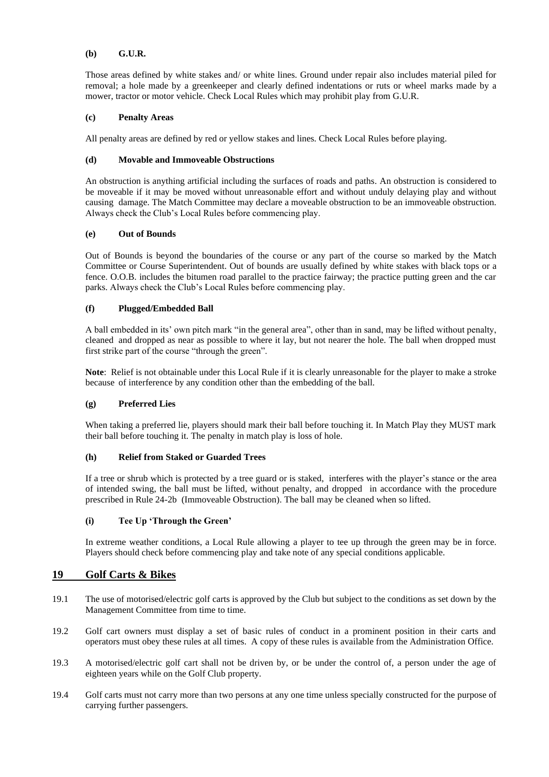#### **(b) G.U.R.**

Those areas defined by white stakes and/ or white lines. Ground under repair also includes material piled for removal; a hole made by a greenkeeper and clearly defined indentations or ruts or wheel marks made by a mower, tractor or motor vehicle. Check Local Rules which may prohibit play from G.U.R.

#### **(c) Penalty Areas**

All penalty areas are defined by red or yellow stakes and lines. Check Local Rules before playing.

#### **(d) Movable and Immoveable Obstructions**

An obstruction is anything artificial including the surfaces of roads and paths. An obstruction is considered to be moveable if it may be moved without unreasonable effort and without unduly delaying play and without causing damage. The Match Committee may declare a moveable obstruction to be an immoveable obstruction. Always check the Club's Local Rules before commencing play.

#### **(e) Out of Bounds**

Out of Bounds is beyond the boundaries of the course or any part of the course so marked by the Match Committee or Course Superintendent. Out of bounds are usually defined by white stakes with black tops or a fence. O.O.B. includes the bitumen road parallel to the practice fairway; the practice putting green and the car parks. Always check the Club's Local Rules before commencing play.

#### **(f) Plugged/Embedded Ball**

A ball embedded in its' own pitch mark "in the general area", other than in sand, may be lifted without penalty, cleaned and dropped as near as possible to where it lay, but not nearer the hole. The ball when dropped must first strike part of the course "through the green".

**Note**: Relief is not obtainable under this Local Rule if it is clearly unreasonable for the player to make a stroke because of interference by any condition other than the embedding of the ball.

#### **(g) Preferred Lies**

When taking a preferred lie, players should mark their ball before touching it. In Match Play they MUST mark their ball before touching it. The penalty in match play is loss of hole.

#### **(h) Relief from Staked or Guarded Trees**

If a tree or shrub which is protected by a tree guard or is staked, interferes with the player's stance or the area of intended swing, the ball must be lifted, without penalty, and dropped in accordance with the procedure prescribed in Rule 24-2b (Immoveable Obstruction). The ball may be cleaned when so lifted.

#### **(i) Tee Up 'Through the Green'**

In extreme weather conditions, a Local Rule allowing a player to tee up through the green may be in force. Players should check before commencing play and take note of any special conditions applicable.

# **19 Golf Carts & Bikes**

- 19.1 The use of motorised/electric golf carts is approved by the Club but subject to the conditions as set down by the Management Committee from time to time.
- 19.2 Golf cart owners must display a set of basic rules of conduct in a prominent position in their carts and operators must obey these rules at all times. A copy of these rules is available from the Administration Office.
- 19.3 A motorised/electric golf cart shall not be driven by, or be under the control of, a person under the age of eighteen years while on the Golf Club property.
- 19.4 Golf carts must not carry more than two persons at any one time unless specially constructed for the purpose of carrying further passengers.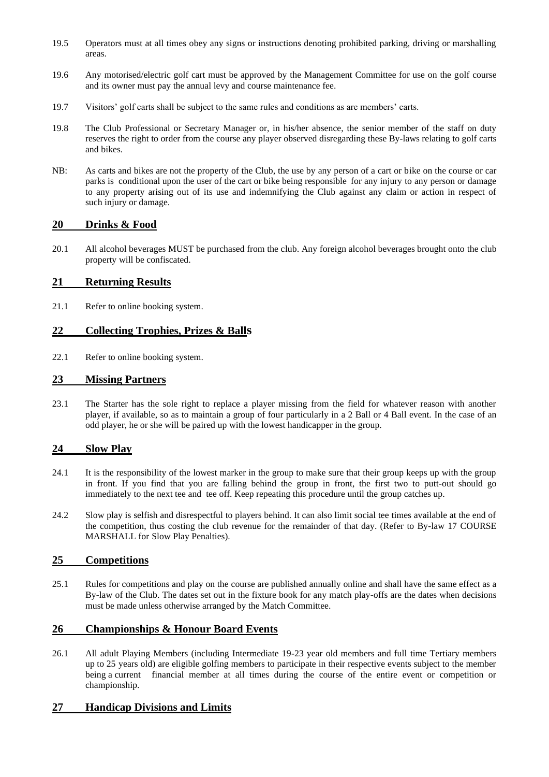- 19.5 Operators must at all times obey any signs or instructions denoting prohibited parking, driving or marshalling areas.
- 19.6 Any motorised/electric golf cart must be approved by the Management Committee for use on the golf course and its owner must pay the annual levy and course maintenance fee.
- 19.7 Visitors' golf carts shall be subject to the same rules and conditions as are members' carts.
- 19.8 The Club Professional or Secretary Manager or, in his/her absence, the senior member of the staff on duty reserves the right to order from the course any player observed disregarding these By-laws relating to golf carts and bikes.
- NB: As carts and bikes are not the property of the Club, the use by any person of a cart or bike on the course or car parks is conditional upon the user of the cart or bike being responsible for any injury to any person or damage to any property arising out of its use and indemnifying the Club against any claim or action in respect of such injury or damage.

# **20 Drinks & Food**

20.1 All alcohol beverages MUST be purchased from the club. Any foreign alcohol beverages brought onto the club property will be confiscated.

## **21 Returning Results**

21.1 Refer to online booking system.

## **22 Collecting Trophies, Prizes & Balls**

22.1 Refer to online booking system.

## **23 Missing Partners**

23.1 The Starter has the sole right to replace a player missing from the field for whatever reason with another player, if available, so as to maintain a group of four particularly in a 2 Ball or 4 Ball event. In the case of an odd player, he or she will be paired up with the lowest handicapper in the group.

### **24 Slow Play**

- 24.1 It is the responsibility of the lowest marker in the group to make sure that their group keeps up with the group in front. If you find that you are falling behind the group in front, the first two to putt-out should go immediately to the next tee and tee off. Keep repeating this procedure until the group catches up.
- 24.2 Slow play is selfish and disrespectful to players behind. It can also limit social tee times available at the end of the competition, thus costing the club revenue for the remainder of that day. (Refer to By-law 17 COURSE MARSHALL for Slow Play Penalties).

### **25 Competitions**

25.1 Rules for competitions and play on the course are published annually online and shall have the same effect as a By-law of the Club. The dates set out in the fixture book for any match play-offs are the dates when decisions must be made unless otherwise arranged by the Match Committee.

# **26 Championships & Honour Board Events**

26.1 All adult Playing Members (including Intermediate 19-23 year old members and full time Tertiary members up to 25 years old) are eligible golfing members to participate in their respective events subject to the member being a current financial member at all times during the course of the entire event or competition or championship.

### **27 Handicap Divisions and Limits**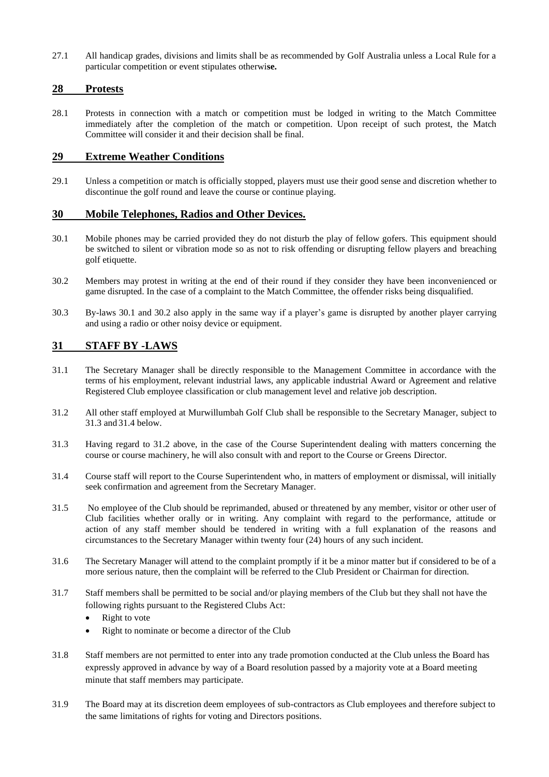27.1 All handicap grades, divisions and limits shall be as recommended by Golf Australia unless a Local Rule for a particular competition or event stipulates otherwi**se.**

### **28 Protests**

28.1 Protests in connection with a match or competition must be lodged in writing to the Match Committee immediately after the completion of the match or competition. Upon receipt of such protest, the Match Committee will consider it and their decision shall be final.

# **29 Extreme Weather Conditions**

29.1 Unless a competition or match is officially stopped, players must use their good sense and discretion whether to discontinue the golf round and leave the course or continue playing.

#### **30 Mobile Telephones, Radios and Other Devices.**

- 30.1 Mobile phones may be carried provided they do not disturb the play of fellow gofers. This equipment should be switched to silent or vibration mode so as not to risk offending or disrupting fellow players and breaching golf etiquette.
- 30.2 Members may protest in writing at the end of their round if they consider they have been inconvenienced or game disrupted. In the case of a complaint to the Match Committee, the offender risks being disqualified.
- 30.3 By-laws 30.1 and 30.2 also apply in the same way if a player's game is disrupted by another player carrying and using a radio or other noisy device or equipment.

# **31 STAFF BY -LAWS**

- 31.1 The Secretary Manager shall be directly responsible to the Management Committee in accordance with the terms of his employment, relevant industrial laws, any applicable industrial Award or Agreement and relative Registered Club employee classification or club management level and relative job description.
- 31.2 All other staff employed at Murwillumbah Golf Club shall be responsible to the Secretary Manager, subject to 31.3 and 31.4 below.
- 31.3 Having regard to 31.2 above, in the case of the Course Superintendent dealing with matters concerning the course or course machinery, he will also consult with and report to the Course or Greens Director.
- 31.4 Course staff will report to the Course Superintendent who, in matters of employment or dismissal, will initially seek confirmation and agreement from the Secretary Manager.
- 31.5 No employee of the Club should be reprimanded, abused or threatened by any member, visitor or other user of Club facilities whether orally or in writing. Any complaint with regard to the performance, attitude or action of any staff member should be tendered in writing with a full explanation of the reasons and circumstances to the Secretary Manager within twenty four (24) hours of any such incident.
- 31.6 The Secretary Manager will attend to the complaint promptly if it be a minor matter but if considered to be of a more serious nature, then the complaint will be referred to the Club President or Chairman for direction.
- 31.7 Staff members shall be permitted to be social and/or playing members of the Club but they shall not have the following rights pursuant to the Registered Clubs Act:
	- Right to vote
	- Right to nominate or become a director of the Club
- 31.8 Staff members are not permitted to enter into any trade promotion conducted at the Club unless the Board has expressly approved in advance by way of a Board resolution passed by a majority vote at a Board meeting minute that staff members may participate.
- 31.9 The Board may at its discretion deem employees of sub-contractors as Club employees and therefore subject to the same limitations of rights for voting and Directors positions.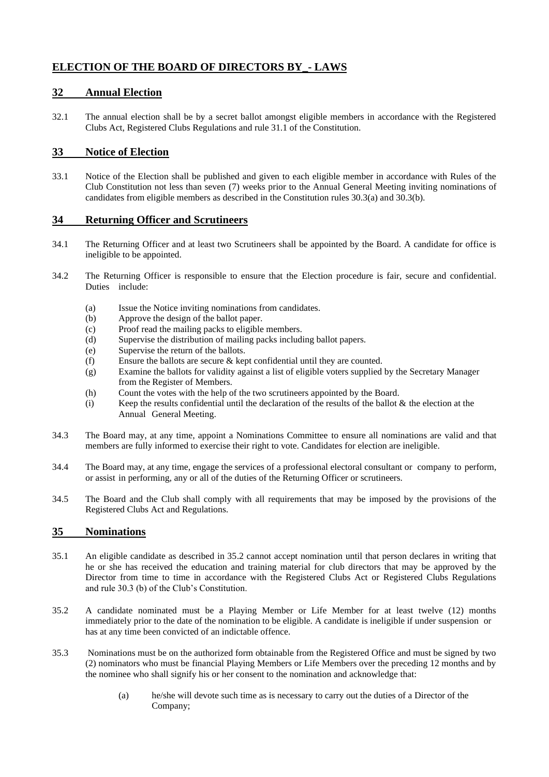# **ELECTION OF THE BOARD OF DIRECTORS BY\_- LAWS**

## **32 Annual Election**

32.1 The annual election shall be by a secret ballot amongst eligible members in accordance with the Registered Clubs Act, Registered Clubs Regulations and rule 31.1 of the Constitution.

## **33 Notice of Election**

33.1 Notice of the Election shall be published and given to each eligible member in accordance with Rules of the Club Constitution not less than seven (7) weeks prior to the Annual General Meeting inviting nominations of candidates from eligible members as described in the Constitution rules 30.3(a) and 30.3(b).

## **34 Returning Officer and Scrutineers**

- 34.1 The Returning Officer and at least two Scrutineers shall be appointed by the Board. A candidate for office is ineligible to be appointed.
- 34.2 The Returning Officer is responsible to ensure that the Election procedure is fair, secure and confidential. Duties include:
	- (a) Issue the Notice inviting nominations from candidates.
	- (b) Approve the design of the ballot paper.
	- (c) Proof read the mailing packs to eligible members.
	- (d) Supervise the distribution of mailing packs including ballot papers.
	- (e) Supervise the return of the ballots.
	- (f) Ensure the ballots are secure & kept confidential until they are counted.
	- (g) Examine the ballots for validity against a list of eligible voters supplied by the Secretary Manager from the Register of Members.
	- (h) Count the votes with the help of the two scrutineers appointed by the Board.
	- (i) Keep the results confidential until the declaration of the results of the ballot  $\&$  the election at the Annual General Meeting.
- 34.3 The Board may, at any time, appoint a Nominations Committee to ensure all nominations are valid and that members are fully informed to exercise their right to vote. Candidates for election are ineligible.
- 34.4 The Board may, at any time, engage the services of a professional electoral consultant or company to perform, or assist in performing, any or all of the duties of the Returning Officer or scrutineers.
- 34.5 The Board and the Club shall comply with all requirements that may be imposed by the provisions of the Registered Clubs Act and Regulations.

### **35 Nominations**

- 35.1 An eligible candidate as described in 35.2 cannot accept nomination until that person declares in writing that he or she has received the education and training material for club directors that may be approved by the Director from time to time in accordance with the Registered Clubs Act or Registered Clubs Regulations and rule 30.3 (b) of the Club's Constitution.
- 35.2 A candidate nominated must be a Playing Member or Life Member for at least twelve (12) months immediately prior to the date of the nomination to be eligible. A candidate is ineligible if under suspension or has at any time been convicted of an indictable offence.
- 35.3 Nominations must be on the authorized form obtainable from the Registered Office and must be signed by two (2) nominators who must be financial Playing Members or Life Members over the preceding 12 months and by the nominee who shall signify his or her consent to the nomination and acknowledge that:
	- (a) he/she will devote such time as is necessary to carry out the duties of a Director of the Company;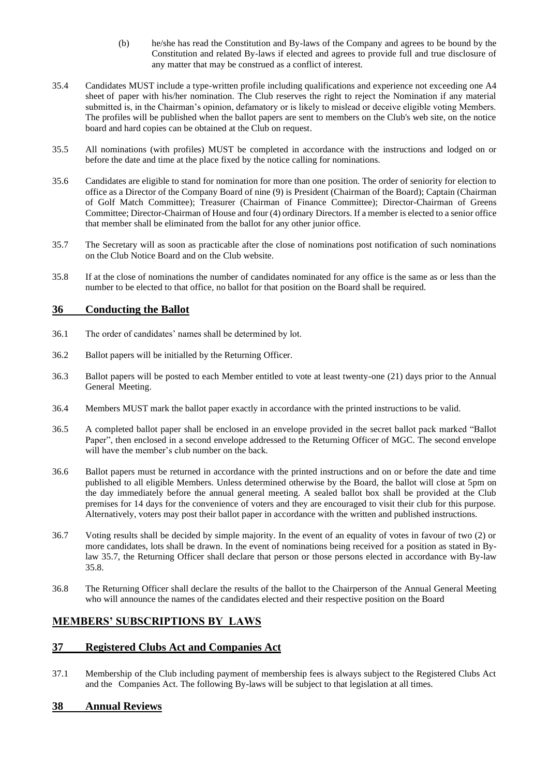- (b) he/she has read the Constitution and By-laws of the Company and agrees to be bound by the Constitution and related By-laws if elected and agrees to provide full and true disclosure of any matter that may be construed as a conflict of interest.
- 35.4 Candidates MUST include a type-written profile including qualifications and experience not exceeding one A4 sheet of paper with his/her nomination. The Club reserves the right to reject the Nomination if any material submitted is, in the Chairman's opinion, defamatory or is likely to mislead or deceive eligible voting Members. The profiles will be published when the ballot papers are sent to members on the Club's web site, on the notice board and hard copies can be obtained at the Club on request.
- 35.5 All nominations (with profiles) MUST be completed in accordance with the instructions and lodged on or before the date and time at the place fixed by the notice calling for nominations.
- 35.6 Candidates are eligible to stand for nomination for more than one position. The order of seniority for election to office as a Director of the Company Board of nine (9) is President (Chairman of the Board); Captain (Chairman of Golf Match Committee); Treasurer (Chairman of Finance Committee); Director-Chairman of Greens Committee; Director-Chairman of House and four (4) ordinary Directors. If a member is elected to a senior office that member shall be eliminated from the ballot for any other junior office.
- 35.7 The Secretary will as soon as practicable after the close of nominations post notification of such nominations on the Club Notice Board and on the Club website.
- 35.8 If at the close of nominations the number of candidates nominated for any office is the same as or less than the number to be elected to that office, no ballot for that position on the Board shall be required.

# **36 Conducting the Ballot**

- 36.1 The order of candidates' names shall be determined by lot.
- 36.2 Ballot papers will be initialled by the Returning Officer.
- 36.3 Ballot papers will be posted to each Member entitled to vote at least twenty-one (21) days prior to the Annual General Meeting.
- 36.4 Members MUST mark the ballot paper exactly in accordance with the printed instructions to be valid.
- 36.5 A completed ballot paper shall be enclosed in an envelope provided in the secret ballot pack marked "Ballot Paper", then enclosed in a second envelope addressed to the Returning Officer of MGC. The second envelope will have the member's club number on the back.
- 36.6 Ballot papers must be returned in accordance with the printed instructions and on or before the date and time published to all eligible Members. Unless determined otherwise by the Board, the ballot will close at 5pm on the day immediately before the annual general meeting. A sealed ballot box shall be provided at the Club premises for 14 days for the convenience of voters and they are encouraged to visit their club for this purpose. Alternatively, voters may post their ballot paper in accordance with the written and published instructions.
- 36.7 Voting results shall be decided by simple majority. In the event of an equality of votes in favour of two (2) or more candidates, lots shall be drawn. In the event of nominations being received for a position as stated in Bylaw 35.7, the Returning Officer shall declare that person or those persons elected in accordance with By-law 35.8.
- 36.8 The Returning Officer shall declare the results of the ballot to the Chairperson of the Annual General Meeting who will announce the names of the candidates elected and their respective position on the Board

# **MEMBERS' SUBSCRIPTIONS BY\_LAWS**

# **37 Registered Clubs Act and Companies Act**

37.1 Membership of the Club including payment of membership fees is always subject to the Registered Clubs Act and the Companies Act. The following By-laws will be subject to that legislation at all times.

# **38 Annual Reviews**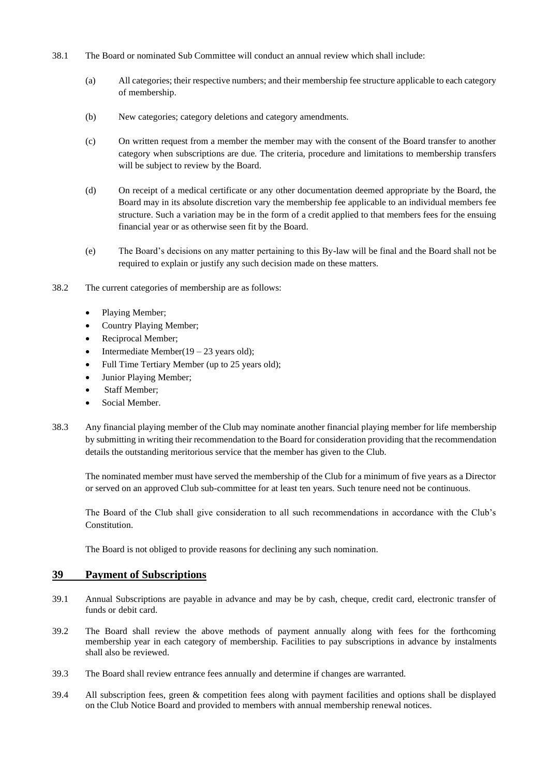- 38.1 The Board or nominated Sub Committee will conduct an annual review which shall include:
	- (a) All categories; their respective numbers; and their membership fee structure applicable to each category of membership.
	- (b) New categories; category deletions and category amendments.
	- (c) On written request from a member the member may with the consent of the Board transfer to another category when subscriptions are due. The criteria, procedure and limitations to membership transfers will be subject to review by the Board.
	- (d) On receipt of a medical certificate or any other documentation deemed appropriate by the Board, the Board may in its absolute discretion vary the membership fee applicable to an individual members fee structure. Such a variation may be in the form of a credit applied to that members fees for the ensuing financial year or as otherwise seen fit by the Board.
	- (e) The Board's decisions on any matter pertaining to this By-law will be final and the Board shall not be required to explain or justify any such decision made on these matters.
- 38.2 The current categories of membership are as follows:
	- Playing Member;
	- Country Playing Member;
	- Reciprocal Member;
	- Intermediate Member( $19 23$  years old);
	- Full Time Tertiary Member (up to 25 years old);
	- Junior Playing Member;
	- Staff Member:
	- Social Member.
- 38.3 Any financial playing member of the Club may nominate another financial playing member for life membership by submitting in writing their recommendation to the Board for consideration providing that the recommendation details the outstanding meritorious service that the member has given to the Club.

The nominated member must have served the membership of the Club for a minimum of five years as a Director or served on an approved Club sub-committee for at least ten years. Such tenure need not be continuous.

The Board of the Club shall give consideration to all such recommendations in accordance with the Club's Constitution.

The Board is not obliged to provide reasons for declining any such nomination.

# **39 Payment of Subscriptions**

- 39.1 Annual Subscriptions are payable in advance and may be by cash, cheque, credit card, electronic transfer of funds or debit card.
- 39.2 The Board shall review the above methods of payment annually along with fees for the forthcoming membership year in each category of membership. Facilities to pay subscriptions in advance by instalments shall also be reviewed.
- 39.3 The Board shall review entrance fees annually and determine if changes are warranted.
- 39.4 All subscription fees, green & competition fees along with payment facilities and options shall be displayed on the Club Notice Board and provided to members with annual membership renewal notices.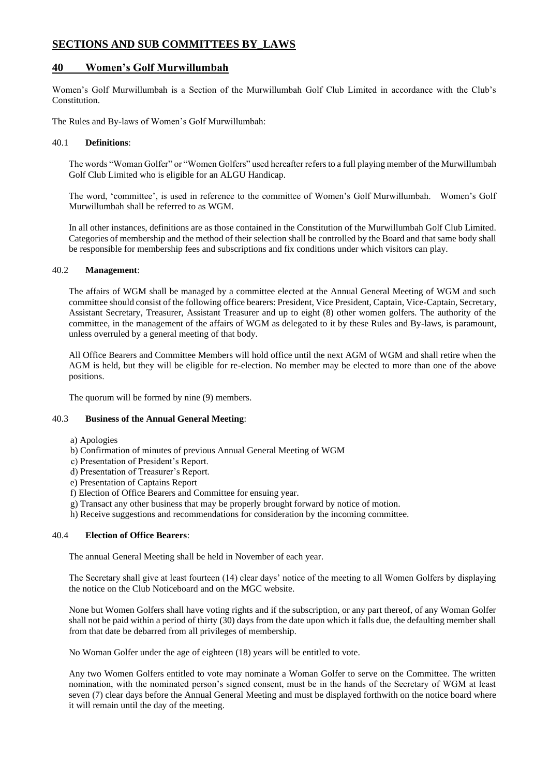# **SECTIONS AND SUB COMMITTEES BY\_LAWS**

### **40 Women's Golf Murwillumbah**

Women's Golf Murwillumbah is a Section of the Murwillumbah Golf Club Limited in accordance with the Club's Constitution.

The Rules and By-laws of Women's Golf Murwillumbah:

#### 40.1 **Definitions**:

The words "Woman Golfer" or "Women Golfers" used hereafter refers to a full playing member of the Murwillumbah Golf Club Limited who is eligible for an ALGU Handicap.

The word, 'committee', is used in reference to the committee of Women's Golf Murwillumbah. Women's Golf Murwillumbah shall be referred to as WGM.

In all other instances, definitions are as those contained in the Constitution of the Murwillumbah Golf Club Limited. Categories of membership and the method of their selection shall be controlled by the Board and that same body shall be responsible for membership fees and subscriptions and fix conditions under which visitors can play.

#### 40.2 **Management**:

The affairs of WGM shall be managed by a committee elected at the Annual General Meeting of WGM and such committee should consist of the following office bearers: President, Vice President, Captain, Vice-Captain, Secretary, Assistant Secretary, Treasurer, Assistant Treasurer and up to eight (8) other women golfers. The authority of the committee, in the management of the affairs of WGM as delegated to it by these Rules and By-laws, is paramount, unless overruled by a general meeting of that body.

All Office Bearers and Committee Members will hold office until the next AGM of WGM and shall retire when the AGM is held, but they will be eligible for re-election. No member may be elected to more than one of the above positions.

The quorum will be formed by nine (9) members.

#### 40.3 **Business of the Annual General Meeting**:

- a) Apologies
- b) Confirmation of minutes of previous Annual General Meeting of WGM
- c) Presentation of President's Report.
- d) Presentation of Treasurer's Report.
- e) Presentation of Captains Report
- f) Election of Office Bearers and Committee for ensuing year.
- g) Transact any other business that may be properly brought forward by notice of motion.
- h) Receive suggestions and recommendations for consideration by the incoming committee.

#### 40.4 **Election of Office Bearers**:

The annual General Meeting shall be held in November of each year.

The Secretary shall give at least fourteen (14) clear days' notice of the meeting to all Women Golfers by displaying the notice on the Club Noticeboard and on the MGC website.

None but Women Golfers shall have voting rights and if the subscription, or any part thereof, of any Woman Golfer shall not be paid within a period of thirty (30) days from the date upon which it falls due, the defaulting member shall from that date be debarred from all privileges of membership.

No Woman Golfer under the age of eighteen (18) years will be entitled to vote.

Any two Women Golfers entitled to vote may nominate a Woman Golfer to serve on the Committee. The written nomination, with the nominated person's signed consent, must be in the hands of the Secretary of WGM at least seven (7) clear days before the Annual General Meeting and must be displayed forthwith on the notice board where it will remain until the day of the meeting.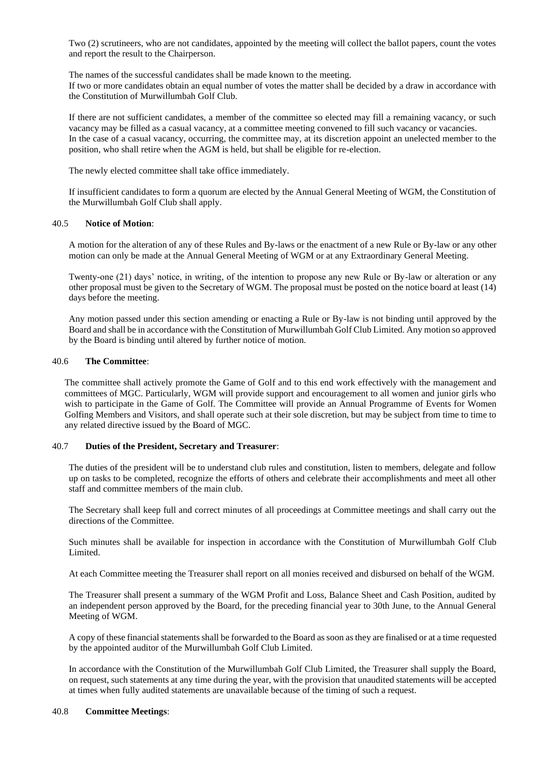Two (2) scrutineers, who are not candidates, appointed by the meeting will collect the ballot papers, count the votes and report the result to the Chairperson.

The names of the successful candidates shall be made known to the meeting.

If two or more candidates obtain an equal number of votes the matter shall be decided by a draw in accordance with the Constitution of Murwillumbah Golf Club.

If there are not sufficient candidates, a member of the committee so elected may fill a remaining vacancy, or such vacancy may be filled as a casual vacancy, at a committee meeting convened to fill such vacancy or vacancies. In the case of a casual vacancy, occurring, the committee may, at its discretion appoint an unelected member to the position, who shall retire when the AGM is held, but shall be eligible for re-election.

The newly elected committee shall take office immediately.

If insufficient candidates to form a quorum are elected by the Annual General Meeting of WGM, the Constitution of the Murwillumbah Golf Club shall apply.

#### 40.5 **Notice of Motion**:

A motion for the alteration of any of these Rules and By-laws or the enactment of a new Rule or By-law or any other motion can only be made at the Annual General Meeting of WGM or at any Extraordinary General Meeting.

Twenty-one (21) days' notice, in writing, of the intention to propose any new Rule or By-law or alteration or any other proposal must be given to the Secretary of WGM. The proposal must be posted on the notice board at least (14) days before the meeting.

Any motion passed under this section amending or enacting a Rule or By-law is not binding until approved by the Board and shall be in accordance with the Constitution of Murwillumbah Golf Club Limited. Any motion so approved by the Board is binding until altered by further notice of motion.

#### 40.6 **The Committee**:

The committee shall actively promote the Game of Golf and to this end work effectively with the management and committees of MGC. Particularly, WGM will provide support and encouragement to all women and junior girls who wish to participate in the Game of Golf. The Committee will provide an Annual Programme of Events for Women Golfing Members and Visitors, and shall operate such at their sole discretion, but may be subject from time to time to any related directive issued by the Board of MGC.

#### 40.7 **Duties of the President, Secretary and Treasurer**:

The duties of the president will be to understand club rules and constitution, listen to members, delegate and follow up on tasks to be completed, recognize the efforts of others and celebrate their accomplishments and meet all other staff and committee members of the main club.

The Secretary shall keep full and correct minutes of all proceedings at Committee meetings and shall carry out the directions of the Committee.

Such minutes shall be available for inspection in accordance with the Constitution of Murwillumbah Golf Club Limited.

At each Committee meeting the Treasurer shall report on all monies received and disbursed on behalf of the WGM.

The Treasurer shall present a summary of the WGM Profit and Loss, Balance Sheet and Cash Position, audited by an independent person approved by the Board, for the preceding financial year to 30th June, to the Annual General Meeting of WGM.

A copy of these financial statements shall be forwarded to the Board as soon as they are finalised or at a time requested by the appointed auditor of the Murwillumbah Golf Club Limited.

In accordance with the Constitution of the Murwillumbah Golf Club Limited, the Treasurer shall supply the Board, on request, such statements at any time during the year, with the provision that unaudited statements will be accepted at times when fully audited statements are unavailable because of the timing of such a request.

#### 40.8 **Committee Meetings**: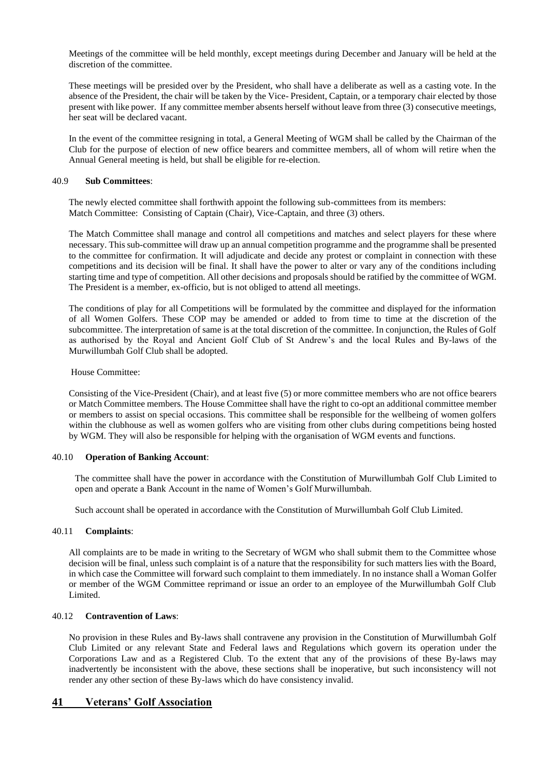Meetings of the committee will be held monthly, except meetings during December and January will be held at the discretion of the committee.

These meetings will be presided over by the President, who shall have a deliberate as well as a casting vote. In the absence of the President, the chair will be taken by the Vice- President, Captain, or a temporary chair elected by those present with like power. If any committee member absents herself without leave from three (3) consecutive meetings, her seat will be declared vacant.

In the event of the committee resigning in total, a General Meeting of WGM shall be called by the Chairman of the Club for the purpose of election of new office bearers and committee members, all of whom will retire when the Annual General meeting is held, but shall be eligible for re-election.

#### 40.9 **Sub Committees**:

The newly elected committee shall forthwith appoint the following sub-committees from its members: Match Committee: Consisting of Captain (Chair), Vice-Captain, and three (3) others.

The Match Committee shall manage and control all competitions and matches and select players for these where necessary. This sub-committee will draw up an annual competition programme and the programme shall be presented to the committee for confirmation. It will adjudicate and decide any protest or complaint in connection with these competitions and its decision will be final. It shall have the power to alter or vary any of the conditions including starting time and type of competition. All other decisions and proposals should be ratified by the committee of WGM. The President is a member, ex-officio, but is not obliged to attend all meetings.

The conditions of play for all Competitions will be formulated by the committee and displayed for the information of all Women Golfers. These COP may be amended or added to from time to time at the discretion of the subcommittee. The interpretation of same is at the total discretion of the committee. In conjunction, the Rules of Golf as authorised by the Royal and Ancient Golf Club of St Andrew's and the local Rules and By-laws of the Murwillumbah Golf Club shall be adopted.

#### House Committee:

Consisting of the Vice-President (Chair), and at least five (5) or more committee members who are not office bearers or Match Committee members. The House Committee shall have the right to co-opt an additional committee member or members to assist on special occasions. This committee shall be responsible for the wellbeing of women golfers within the clubhouse as well as women golfers who are visiting from other clubs during competitions being hosted by WGM. They will also be responsible for helping with the organisation of WGM events and functions.

#### 40.10 **Operation of Banking Account**:

The committee shall have the power in accordance with the Constitution of Murwillumbah Golf Club Limited to open and operate a Bank Account in the name of Women's Golf Murwillumbah.

Such account shall be operated in accordance with the Constitution of Murwillumbah Golf Club Limited.

#### 40.11 **Complaints**:

All complaints are to be made in writing to the Secretary of WGM who shall submit them to the Committee whose decision will be final, unless such complaint is of a nature that the responsibility for such matters lies with the Board, in which case the Committee will forward such complaint to them immediately. In no instance shall a Woman Golfer or member of the WGM Committee reprimand or issue an order to an employee of the Murwillumbah Golf Club Limited.

#### 40.12 **Contravention of Laws**:

No provision in these Rules and By-laws shall contravene any provision in the Constitution of Murwillumbah Golf Club Limited or any relevant State and Federal laws and Regulations which govern its operation under the Corporations Law and as a Registered Club. To the extent that any of the provisions of these By-laws may inadvertently be inconsistent with the above, these sections shall be inoperative, but such inconsistency will not render any other section of these By-laws which do have consistency invalid.

### **41 Veterans' Golf Association**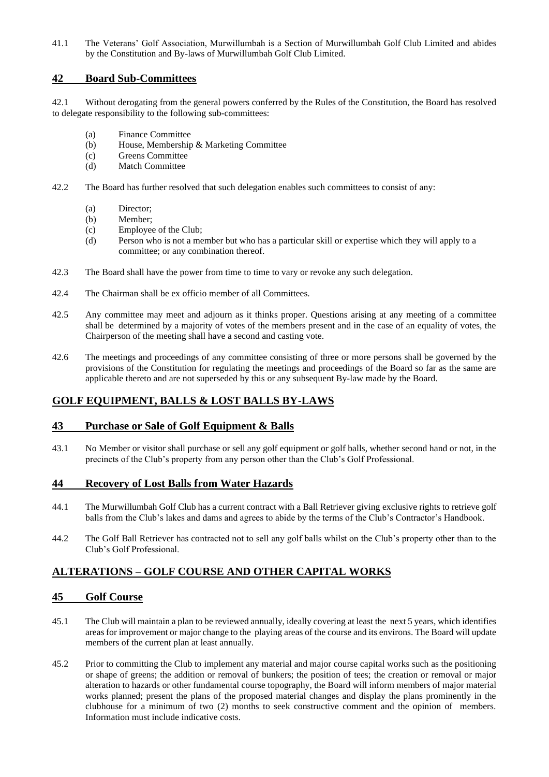41.1 The Veterans' Golf Association, Murwillumbah is a Section of Murwillumbah Golf Club Limited and abides by the Constitution and By-laws of Murwillumbah Golf Club Limited.

## **42 Board Sub-Committees**

42.1 Without derogating from the general powers conferred by the Rules of the Constitution, the Board has resolved to delegate responsibility to the following sub-committees:

- (a) Finance Committee
- (b) House, Membership & Marketing Committee
- (c) Greens Committee
- (d) Match Committee
- 42.2 The Board has further resolved that such delegation enables such committees to consist of any:
	- (a) Director;
	- (b) Member;
	- (c) Employee of the Club;
	- (d) Person who is not a member but who has a particular skill or expertise which they will apply to a committee; or any combination thereof.
- 42.3 The Board shall have the power from time to time to vary or revoke any such delegation.
- 42.4 The Chairman shall be ex officio member of all Committees.
- 42.5 Any committee may meet and adjourn as it thinks proper. Questions arising at any meeting of a committee shall be determined by a majority of votes of the members present and in the case of an equality of votes, the Chairperson of the meeting shall have a second and casting vote.
- 42.6 The meetings and proceedings of any committee consisting of three or more persons shall be governed by the provisions of the Constitution for regulating the meetings and proceedings of the Board so far as the same are applicable thereto and are not superseded by this or any subsequent By-law made by the Board.

# **GOLF EQUIPMENT, BALLS & LOST BALLS BY-LAWS**

### **43 Purchase or Sale of Golf Equipment & Balls**

43.1 No Member or visitor shall purchase or sell any golf equipment or golf balls, whether second hand or not, in the precincts of the Club's property from any person other than the Club's Golf Professional.

### **44 Recovery of Lost Balls from Water Hazards**

- 44.1 The Murwillumbah Golf Club has a current contract with a Ball Retriever giving exclusive rights to retrieve golf balls from the Club's lakes and dams and agrees to abide by the terms of the Club's Contractor's Handbook.
- 44.2 The Golf Ball Retriever has contracted not to sell any golf balls whilst on the Club's property other than to the Club's Golf Professional.

# **ALTERATIONS – GOLF COURSE AND OTHER CAPITAL WORKS**

### **45 Golf Course**

- 45.1 The Club will maintain a plan to be reviewed annually, ideally covering at least the next 5 years, which identifies areas for improvement or major change to the playing areas of the course and its environs. The Board will update members of the current plan at least annually.
- 45.2 Prior to committing the Club to implement any material and major course capital works such as the positioning or shape of greens; the addition or removal of bunkers; the position of tees; the creation or removal or major alteration to hazards or other fundamental course topography, the Board will inform members of major material works planned; present the plans of the proposed material changes and display the plans prominently in the clubhouse for a minimum of two (2) months to seek constructive comment and the opinion of members. Information must include indicative costs.